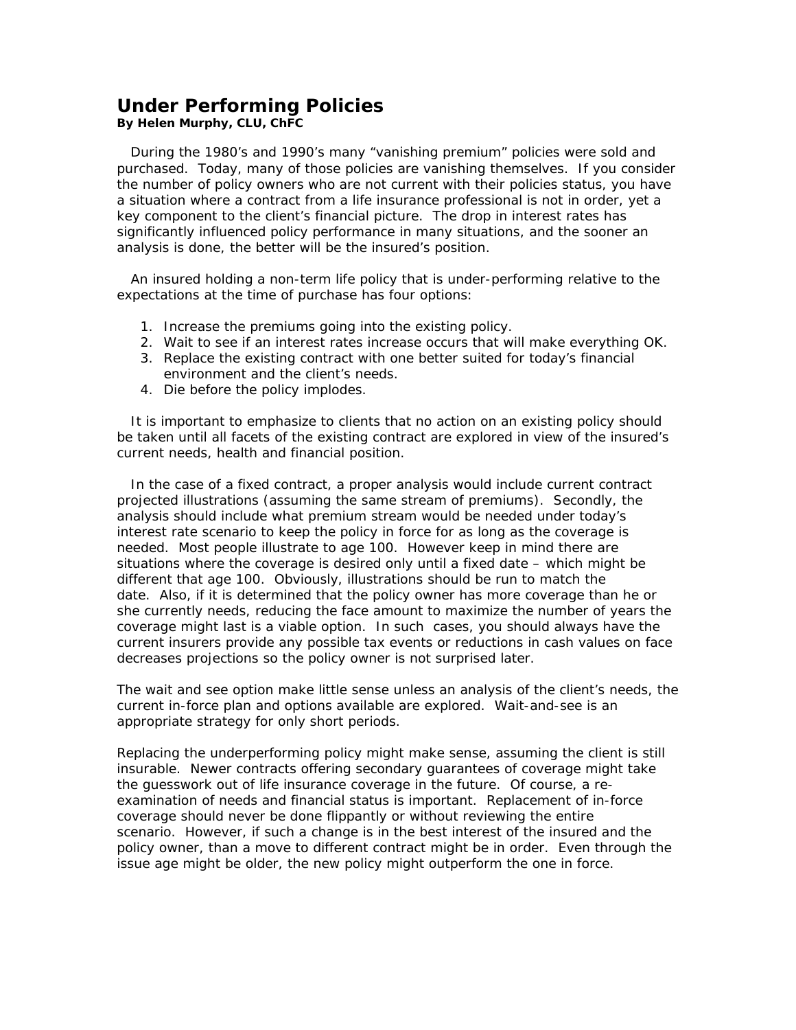## **Under Performing Policies**

*By Helen Murphy, CLU, ChFC* 

 During the 1980's and 1990's many "vanishing premium" policies were sold and purchased. Today, many of those policies are vanishing themselves. If you consider the number of policy owners who are not current with their policies status, you have a situation where a contract from a life insurance professional is not in order, yet a key component to the client's financial picture. The drop in interest rates has significantly influenced policy performance in many situations, and the sooner an analysis is done, the better will be the insured's position.

 An insured holding a non-term life policy that is under-performing relative to the expectations at the time of purchase has four options:

- 1. Increase the premiums going into the existing policy.
- 2. Wait to see if an interest rates increase occurs that will make everything OK.
- 3. Replace the existing contract with one better suited for today's financial environment and the client's needs.
- 4. Die before the policy implodes.

 It is important to emphasize to clients that no action on an existing policy should be taken until all facets of the existing contract are explored in view of the insured's current needs, health and financial position.

 In the case of a fixed contract, a proper analysis would include current contract projected illustrations (assuming the same stream of premiums). Secondly, the analysis should include what premium stream would be needed under today's interest rate scenario to keep the policy in force for as long as the coverage is needed. Most people illustrate to age 100. However keep in mind there are situations where the coverage is desired only until a fixed date – which might be different that age 100. Obviously, illustrations should be run to match the date. Also, if it is determined that the policy owner has more coverage than he or she currently needs, reducing the face amount to maximize the number of years the coverage might last is a viable option. In such cases, you should always have the current insurers provide any possible tax events or reductions in cash values on face decreases projections so the policy owner is not surprised later.

The wait and see option make little sense unless an analysis of the client's needs, the current in-force plan and options available are explored. Wait-and-see is an appropriate strategy for only short periods.

Replacing the underperforming policy might make sense, assuming the client is still insurable. Newer contracts offering secondary guarantees of coverage might take the guesswork out of life insurance coverage in the future. Of course, a reexamination of needs and financial status is important. Replacement of in-force coverage should never be done flippantly or without reviewing the entire scenario. However, if such a change is in the best interest of the insured and the policy owner, than a move to different contract might be in order. Even through the issue age might be older, the new policy might outperform the one in force.